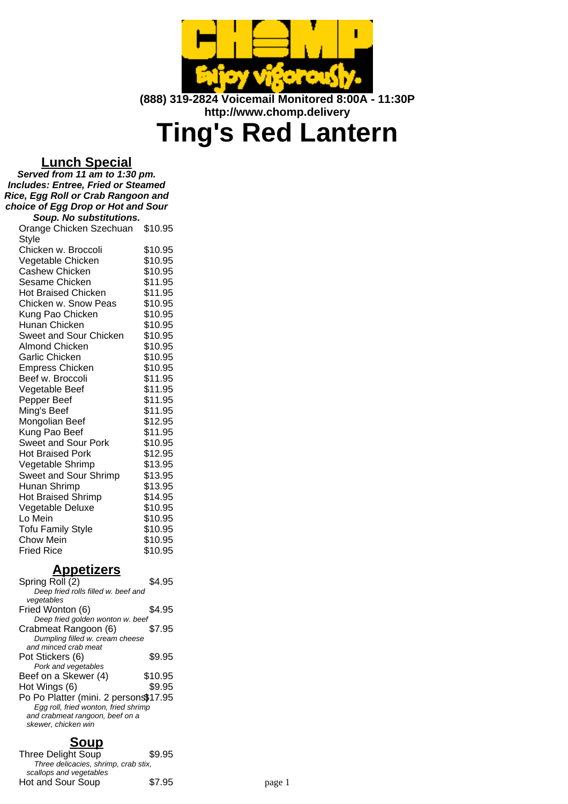

**(888) 319-2824 Voicemail Monitored 8:00A - 11:30P http://www.chomp.delivery**

# **Ting's Red Lantern**

### **Lunch Special**

**Served from 11 am to 1:30 pm. Includes: Entree, Fried or Steamed Rice, Egg Roll or Crab Rangoon and choice of Egg Drop or Hot and Sour Soup. No substitutions.**

| Orange Chicken Szechuan    | \$10.95 |
|----------------------------|---------|
| Style                      |         |
| Chicken w. Broccoli        | \$10.95 |
| Vegetable Chicken          | \$10.95 |
| <b>Cashew Chicken</b>      | \$10.95 |
| Sesame Chicken             | \$11.95 |
| <b>Hot Braised Chicken</b> | \$11.95 |
| Chicken w. Snow Peas       | \$10.95 |
| Kung Pao Chicken           | \$10.95 |
| Hunan Chicken              | \$10.95 |
| Sweet and Sour Chicken     | \$10.95 |
| <b>Almond Chicken</b>      | \$10.95 |
| Garlic Chicken             | \$10.95 |
| <b>Empress Chicken</b>     | \$10.95 |
| Beef w. Broccoli           | \$11.95 |
| Vegetable Beef             | \$11.95 |
| Pepper Beef                | \$11.95 |
| Ming's Beef                | \$11.95 |
| Mongolian Beef             | \$12.95 |
| Kung Pao Beef              | \$11.95 |
| <b>Sweet and Sour Pork</b> | \$10.95 |
| <b>Hot Braised Pork</b>    | \$12.95 |
| Vegetable Shrimp           | \$13.95 |
| Sweet and Sour Shrimp      | \$13.95 |
| Hunan Shrimp               | \$13.95 |
| <b>Hot Braised Shrimp</b>  | \$14.95 |
| Vegetable Deluxe           | \$10.95 |
| Lo Mein                    | \$10.95 |
| <b>Tofu Family Style</b>   | \$10.95 |
| <b>Chow Mein</b>           | \$10.95 |
| <b>Fried Rice</b>          | \$10.95 |

### **Appetizers**

| Spring Roll (2)                       | \$4.95  |
|---------------------------------------|---------|
| Deep fried rolls filled w. beef and   |         |
| vegetables                            |         |
| Fried Wonton (6)                      | \$4.95  |
| Deep fried golden wonton w. beef      |         |
| Crabmeat Rangoon (6)                  | \$7.95  |
| Dumpling filled w. cream cheese       |         |
| and minced crab meat                  |         |
| Pot Stickers (6)                      | \$9.95  |
| Pork and vegetables                   |         |
| Beef on a Skewer (4)                  | \$10.95 |
| Hot Wings (6)                         | \$9.95  |
| Po Po Platter (mini. 2 persons\$17.95 |         |
| Egg roll, fried wonton, fried shrimp  |         |
| and crabmeat rangoon, beef on a       |         |
| skewer, chicken win                   |         |
|                                       |         |

## **Soup**

Three Delight Soup \$9.95 Three delicacies, shrimp, crab stix, scallops and vegetables Hot and Sour Soup \$7.95 page 1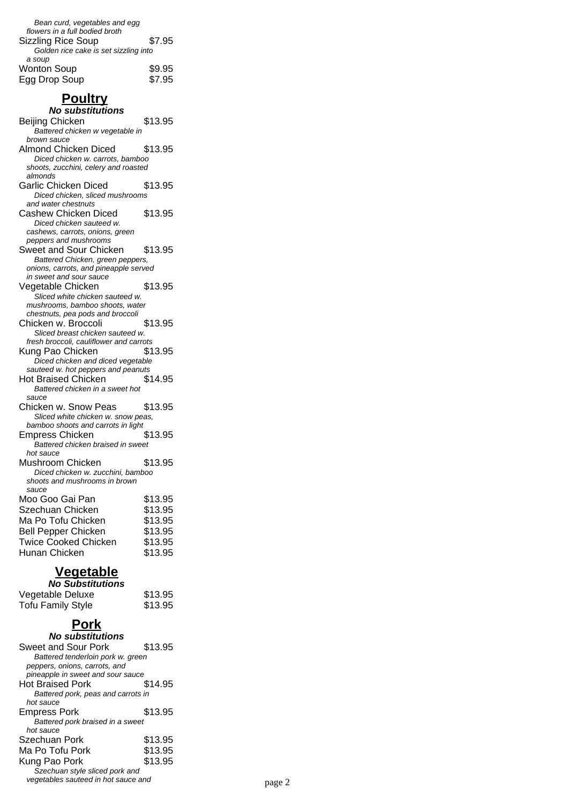| Bean curd, vegetables and egg         |        |
|---------------------------------------|--------|
| flowers in a full bodied broth        |        |
| <b>Sizzling Rice Soup</b>             | \$7.95 |
| Golden rice cake is set sizzling into |        |
| a soup                                |        |
| <b>Wonton Soup</b>                    | \$9.95 |
| Egg Drop Soup                         | \$7.95 |
|                                       |        |

# **Poultry**

#### **No substitutions** Beijing Chicken \$13.95 Battered chicken w vegetable in brown sauce Almond Chicken Diced \$13.95 Diced chicken w. carrots, bamboo shoots, zucchini, celery and roasted almonds Garlic Chicken Diced \$13.95 Diced chicken, sliced mushrooms and water chestnuts Cashew Chicken Diced \$13.95 Diced chicken sauteed w. cashews, carrots, onions, green peppers and mushrooms Sweet and Sour Chicken \$13.95 Battered Chicken, green peppers, onions, carrots, and pineapple served in sweet and sour sauce Vegetable Chicken \$13.95 Sliced white chicken sauteed w. mushrooms, bamboo shoots, water chestnuts, pea pods and broccoli Chicken w. Broccoli \$13.95 Sliced breast chicken sauteed w. fresh broccoli, cauliflower and carrots Kung Pao Chicken \$13.95 Diced chicken and diced vegetable sauteed w. hot peppers and peanuts Hot Braised Chicken \$14.95 Battered chicken in a sweet hot sauce Chicken w. Snow Peas \$13.95 Sliced white chicken w. snow peas, bamboo shoots and carrots in light Empress Chicken \$13.95 Battered chicken braised in sweet hot sauce Mushroom Chicken \$13.95 Diced chicken w. zucchini, bamboo shoots and mushrooms in brown sauce Moo Goo Gai Pan \$13.95 Szechuan Chicken  $$13.95$ Ma Po Tofu Chicken \$13.95 Bell Pepper Chicken \$13.95 Twice Cooked Chicken \$13.95 Hunan Chicken \$13.95

### **Vegetable**

| <b>No Substitutions</b>  |         |
|--------------------------|---------|
| Vegetable Deluxe         | \$13.95 |
| <b>Tofu Family Style</b> | \$13.95 |

# **Pork**

| No substitutions                    |         |        |
|-------------------------------------|---------|--------|
| Sweet and Sour Pork                 | \$13.95 |        |
| Battered tenderloin pork w. green   |         |        |
| peppers, onions, carrots, and       |         |        |
| pineapple in sweet and sour sauce   |         |        |
| <b>Hot Braised Pork</b>             | \$14.95 |        |
| Battered pork, peas and carrots in  |         |        |
| hot sauce                           |         |        |
| Empress Pork                        | \$13.95 |        |
| Battered pork braised in a sweet    |         |        |
| hot sauce                           |         |        |
| Szechuan Pork                       | \$13.95 |        |
| Ma Po Tofu Pork                     | \$13.95 |        |
| Kung Pao Pork                       | \$13.95 |        |
| Szechuan style sliced pork and      |         |        |
| vegetables sauteed in hot sauce and |         | page 2 |
|                                     |         |        |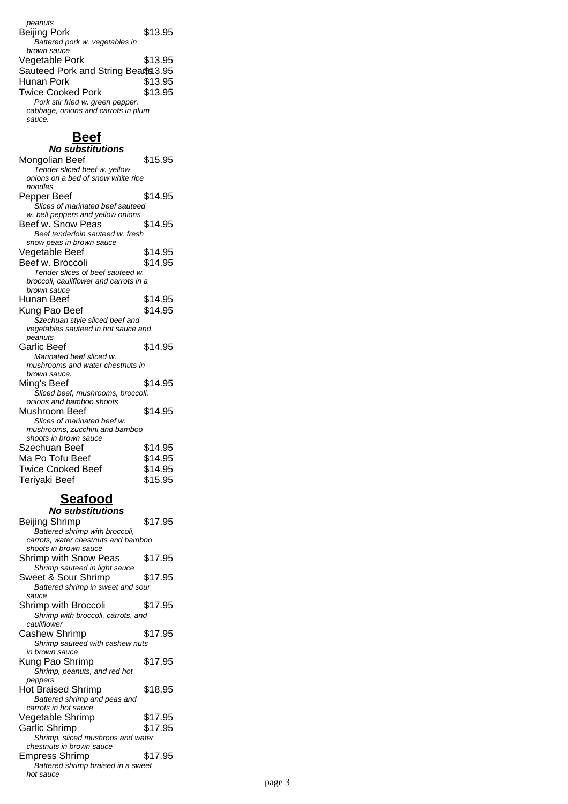peanuts Beijing Pork \$13.95 Battered pork w. vegetables in brown sauce Vegetable Pork \$13.95 Sauteed Pork and String Beans 3.95<br>Hunan Pork \$13.95 Hunan Pork \$13.95<br>Twice Cooked Pork \$13.95 Twice Cooked Pork \$13.95 Pork stir fried w. green pepper, cabbage, onions and carrots in plum sauce.

### **Beef**

| <b>No substitutions</b>                                       |         |
|---------------------------------------------------------------|---------|
| Mongolian Beef                                                | \$15.95 |
| Tender sliced beef w. yellow                                  |         |
| onions on a bed of snow white rice                            |         |
| noodles                                                       |         |
| Pepper Beef                                                   | \$14.95 |
| Slices of marinated beef sauteed                              |         |
| w. bell peppers and yellow onions                             |         |
| Beef w. Snow Peas                                             | \$14.95 |
| Beef tenderloin sauteed w. fresh                              |         |
| snow peas in brown sauce                                      |         |
| Vegetable Beef                                                | \$14.95 |
| Beef w. Broccoli                                              | \$14.95 |
| Tender slices of beef sauteed w.                              |         |
| broccoli, cauliflower and carrots in a                        |         |
| brown sauce                                                   |         |
| Hunan Beef                                                    | \$14.95 |
| Kung Pao Beef                                                 | \$14.95 |
| Szechuan style sliced beef and                                |         |
| vegetables sauteed in hot sauce and                           |         |
| peanuts                                                       |         |
| Garlic Beef                                                   | \$14.95 |
| Marinated beef sliced w.                                      |         |
| mushrooms and water chestnuts in                              |         |
| brown sauce.                                                  |         |
| Ming's Beef                                                   | \$14.95 |
| Sliced beef, mushrooms, broccoli,                             |         |
| onions and bamboo shoots                                      |         |
| Mushroom Beef                                                 | \$14.95 |
| Slices of marinated beef w.<br>mushrooms, zucchini and bamboo |         |
| shoots in brown sauce                                         |         |
| Szechuan Beef                                                 | \$14.95 |
|                                                               |         |
| Ma Po Tofu Beef                                               | \$14.95 |
| <b>Twice Cooked Beef</b>                                      | \$14.95 |
| Teriyaki Beef                                                 | \$15.95 |

#### **Seafood No substitutions**

| งนมงแน                              |         |
|-------------------------------------|---------|
| Beijing Shrimp                      | \$17.95 |
| Battered shrimp with broccoli,      |         |
| carrots, water chestnuts and bamboo |         |
| shoots in brown sauce               |         |
| <b>Shrimp with Snow Peas</b>        | \$17.95 |
| Shrimp sauteed in light sauce       |         |
| Sweet & Sour Shrimp                 | \$17.95 |
| Battered shrimp in sweet and sour   |         |
| sauce                               |         |
| Shrimp with Broccoli                | \$17.95 |
| Shrimp with broccoli, carrots, and  |         |
| cauliflower                         |         |
| <b>Cashew Shrimp</b>                | \$17.95 |
| Shrimp sauteed with cashew nuts     |         |
| in brown sauce                      |         |
| Kung Pao Shrimp                     | \$17.95 |
| Shrimp, peanuts, and red hot        |         |
| peppers                             |         |
| Hot Braised Shrimp                  | \$18.95 |
| Battered shrimp and peas and        |         |
| carrots in hot sauce                |         |
| Vegetable Shrimp                    | \$17.95 |
| Garlic Shrimp                       | \$17.95 |
| Shrimp, sliced mushroos and water   |         |
| chestnuts in brown sauce            |         |
| Empress Shrimp                      | \$17.95 |
| Battered shrimp braised in a sweet  |         |
| hot sauce                           |         |
|                                     |         |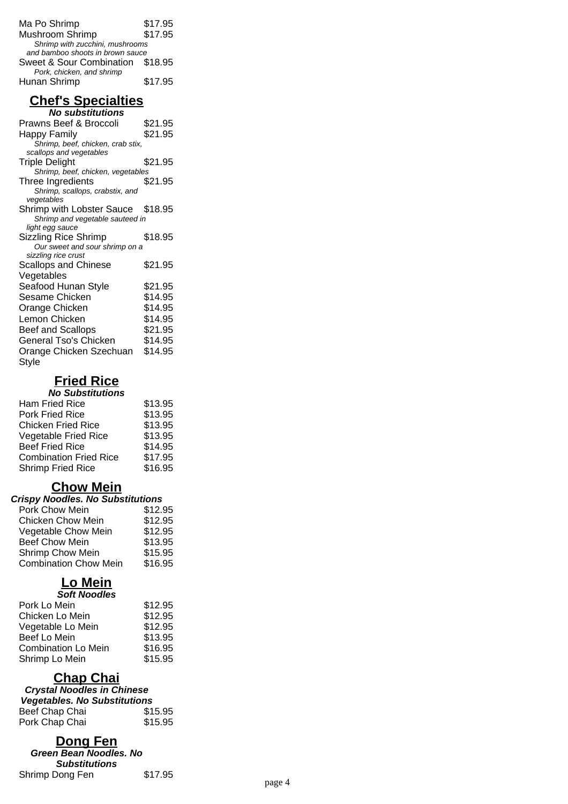| Ma Po Shrimp                     | \$17.95 |
|----------------------------------|---------|
| Mushroom Shrimp                  | \$17.95 |
| Shrimp with zucchini, mushrooms  |         |
| and bamboo shoots in brown sauce |         |
| Sweet & Sour Combination \$18.95 |         |
| Pork, chicken, and shrimp        |         |
| Hunan Shrimp                     | \$17.95 |
|                                  |         |

#### **Chef's Specialties No substitutions**

| Prawns Beef & Broccoli            | \$21.95 |
|-----------------------------------|---------|
| Happy Family                      | \$21.95 |
| Shrimp, beef, chicken, crab stix, |         |
| scallops and vegetables           |         |
| Triple Delight                    | \$21.95 |
| Shrimp, beef, chicken, vegetables |         |
| Three Ingredients                 | \$21.95 |
| Shrimp, scallops, crabstix, and   |         |
| vegetables                        |         |
| Shrimp with Lobster Sauce \$18.95 |         |
| Shrimp and vegetable sauteed in   |         |
| light egg sauce                   |         |
| Sizzling Rice Shrimp              | \$18.95 |
| Our sweet and sour shrimp on a    |         |
| sizzling rice crust               |         |
| <b>Scallops and Chinese</b>       | \$21.95 |
| Vegetables                        |         |
| Seafood Hunan Style               | \$21.95 |
| Sesame Chicken                    | \$14.95 |
| Orange Chicken                    | \$14.95 |
| Lemon Chicken                     | \$14.95 |
|                                   |         |
| Beef and Scallops                 | \$21.95 |
| General Tso's Chicken             | \$14.95 |
| Orange Chicken Szechuan           | \$14.95 |
| Style                             |         |
|                                   |         |

# **Fried Rice**

| <b>No Substitutions</b>       |         |  |
|-------------------------------|---------|--|
| <b>Ham Fried Rice</b>         | \$13.95 |  |
| Pork Fried Rice               | \$13.95 |  |
| <b>Chicken Fried Rice</b>     | \$13.95 |  |
| <b>Vegetable Fried Rice</b>   | \$13.95 |  |
| <b>Beef Fried Rice</b>        | \$14.95 |  |
| <b>Combination Fried Rice</b> | \$17.95 |  |
| <b>Shrimp Fried Rice</b>      | \$16.95 |  |
|                               |         |  |

# **Chow Mein**

| <b>Crispy Noodles. No Substitutions</b> |         |  |
|-----------------------------------------|---------|--|
| Pork Chow Mein                          | \$12.95 |  |
| <b>Chicken Chow Mein</b>                | \$12.95 |  |
| Vegetable Chow Mein                     | \$12.95 |  |
| <b>Beef Chow Mein</b>                   | \$13.95 |  |
| <b>Shrimp Chow Mein</b>                 | \$15.95 |  |
| <b>Combination Chow Mein</b>            | \$16.95 |  |
|                                         |         |  |

#### **Lo Mein Soft Noodles**

| ovil novulta               |         |
|----------------------------|---------|
| Pork Lo Mein               | \$12.95 |
| Chicken Lo Mein            | \$12.95 |
| Vegetable Lo Mein          | \$12.95 |
| Beef Lo Mein               | \$13.95 |
| <b>Combination Lo Mein</b> | \$16.95 |
| Shrimp Lo Mein             | \$15.95 |

## **Chap Chai**

#### **Crystal Noodles in Chinese Vegetables. No Substitutions**

| Beef Chap Chai | \$15.95 |
|----------------|---------|
| Pork Chap Chai | \$15.95 |
|                |         |

### **Dong Fen**

**Green Bean Noodles. No Substitutions** Shrimp Dong Fen \$17.95